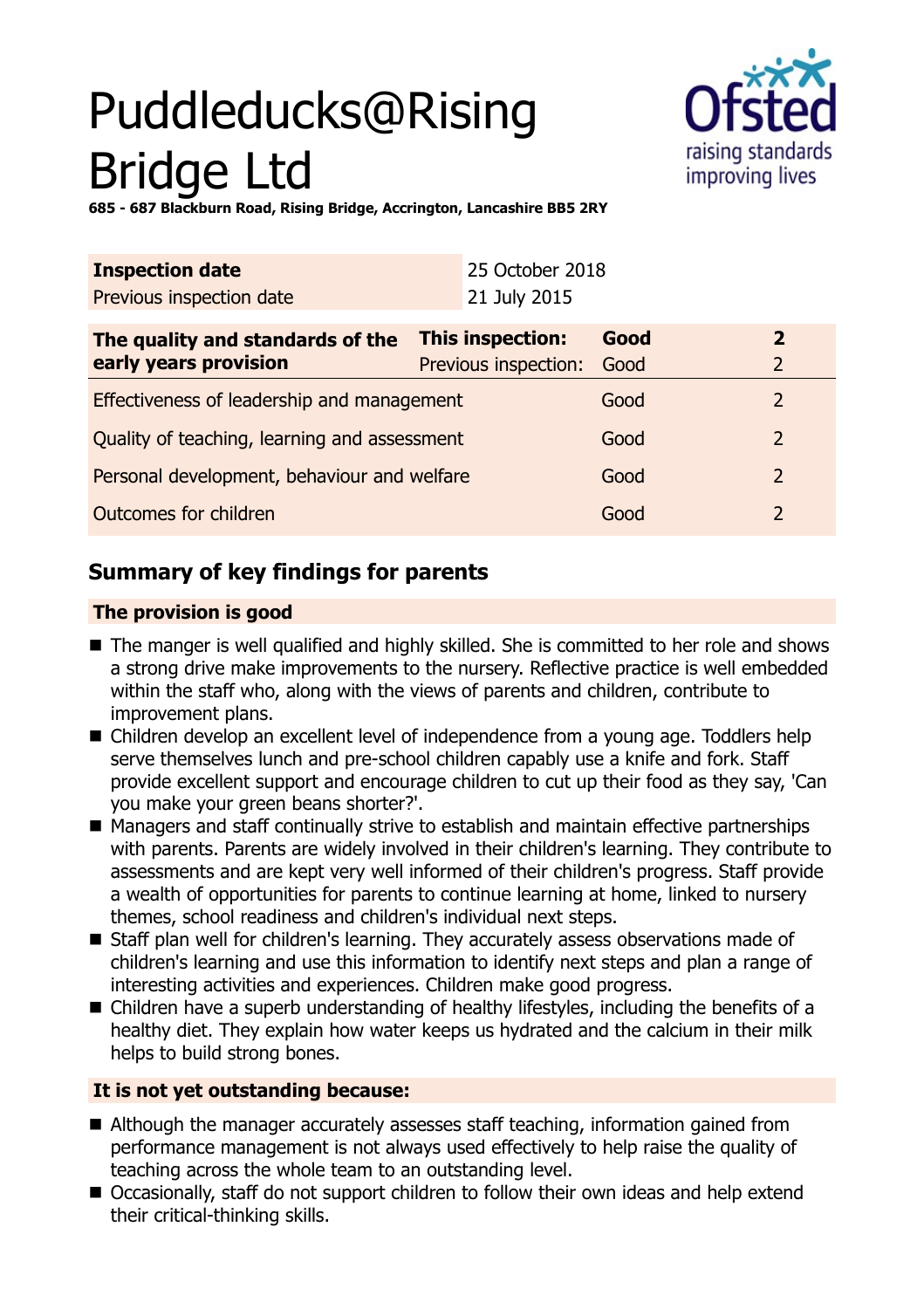# Puddleducks@Rising Bridge Ltd



**685 - 687 Blackburn Road, Rising Bridge, Accrington, Lancashire BB5 2RY**

| <b>Inspection date</b>                                      |                      | 25 October 2018 |                |
|-------------------------------------------------------------|----------------------|-----------------|----------------|
| Previous inspection date                                    | 21 July 2015         |                 |                |
| <b>This inspection:</b><br>The quality and standards of the |                      | Good            | $\overline{2}$ |
| early years provision                                       | Previous inspection: | Good            | $\overline{2}$ |
| Effectiveness of leadership and management                  |                      | Good            | 2              |
| Quality of teaching, learning and assessment                |                      | Good            | $\overline{2}$ |
| Personal development, behaviour and welfare                 |                      | Good            | $\overline{2}$ |
| Outcomes for children                                       |                      | Good            | 2              |

# **Summary of key findings for parents**

#### **The provision is good**

- The manger is well qualified and highly skilled. She is committed to her role and shows a strong drive make improvements to the nursery. Reflective practice is well embedded within the staff who, along with the views of parents and children, contribute to improvement plans.
- Children develop an excellent level of independence from a young age. Toddlers help serve themselves lunch and pre-school children capably use a knife and fork. Staff provide excellent support and encourage children to cut up their food as they say, 'Can you make your green beans shorter?'.
- Managers and staff continually strive to establish and maintain effective partnerships with parents. Parents are widely involved in their children's learning. They contribute to assessments and are kept very well informed of their children's progress. Staff provide a wealth of opportunities for parents to continue learning at home, linked to nursery themes, school readiness and children's individual next steps.
- Staff plan well for children's learning. They accurately assess observations made of children's learning and use this information to identify next steps and plan a range of interesting activities and experiences. Children make good progress.
- Children have a superb understanding of healthy lifestyles, including the benefits of a healthy diet. They explain how water keeps us hydrated and the calcium in their milk helps to build strong bones.

### **It is not yet outstanding because:**

- $\blacksquare$  Although the manager accurately assesses staff teaching, information gained from performance management is not always used effectively to help raise the quality of teaching across the whole team to an outstanding level.
- Occasionally, staff do not support children to follow their own ideas and help extend their critical-thinking skills.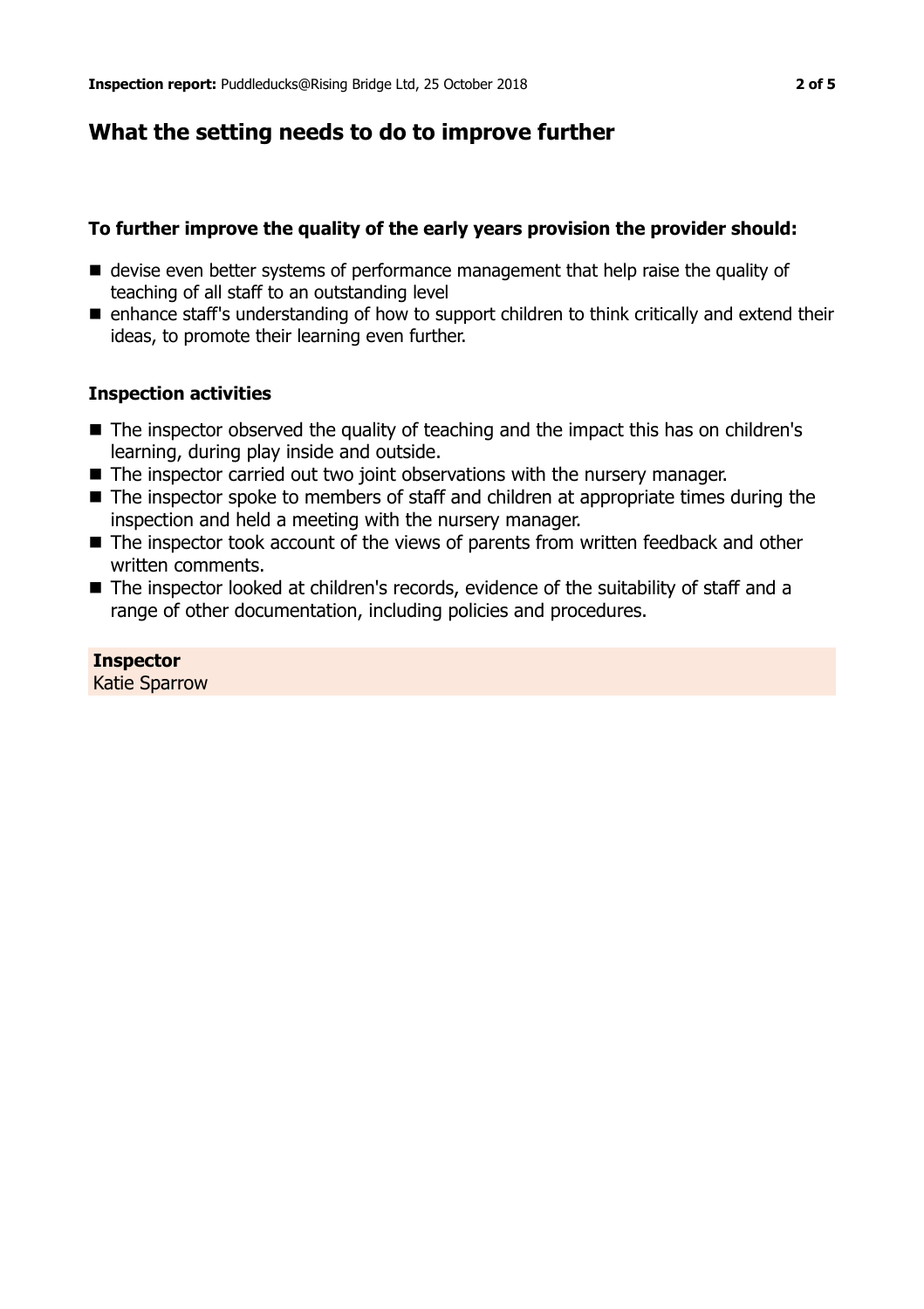## **What the setting needs to do to improve further**

#### **To further improve the quality of the early years provision the provider should:**

- $\blacksquare$  devise even better systems of performance management that help raise the quality of teaching of all staff to an outstanding level
- enhance staff's understanding of how to support children to think critically and extend their ideas, to promote their learning even further.

#### **Inspection activities**

- $\blacksquare$  The inspector observed the quality of teaching and the impact this has on children's learning, during play inside and outside.
- The inspector carried out two joint observations with the nursery manager.
- $\blacksquare$  The inspector spoke to members of staff and children at appropriate times during the inspection and held a meeting with the nursery manager.
- The inspector took account of the views of parents from written feedback and other written comments.
- The inspector looked at children's records, evidence of the suitability of staff and a range of other documentation, including policies and procedures.

#### **Inspector**

Katie Sparrow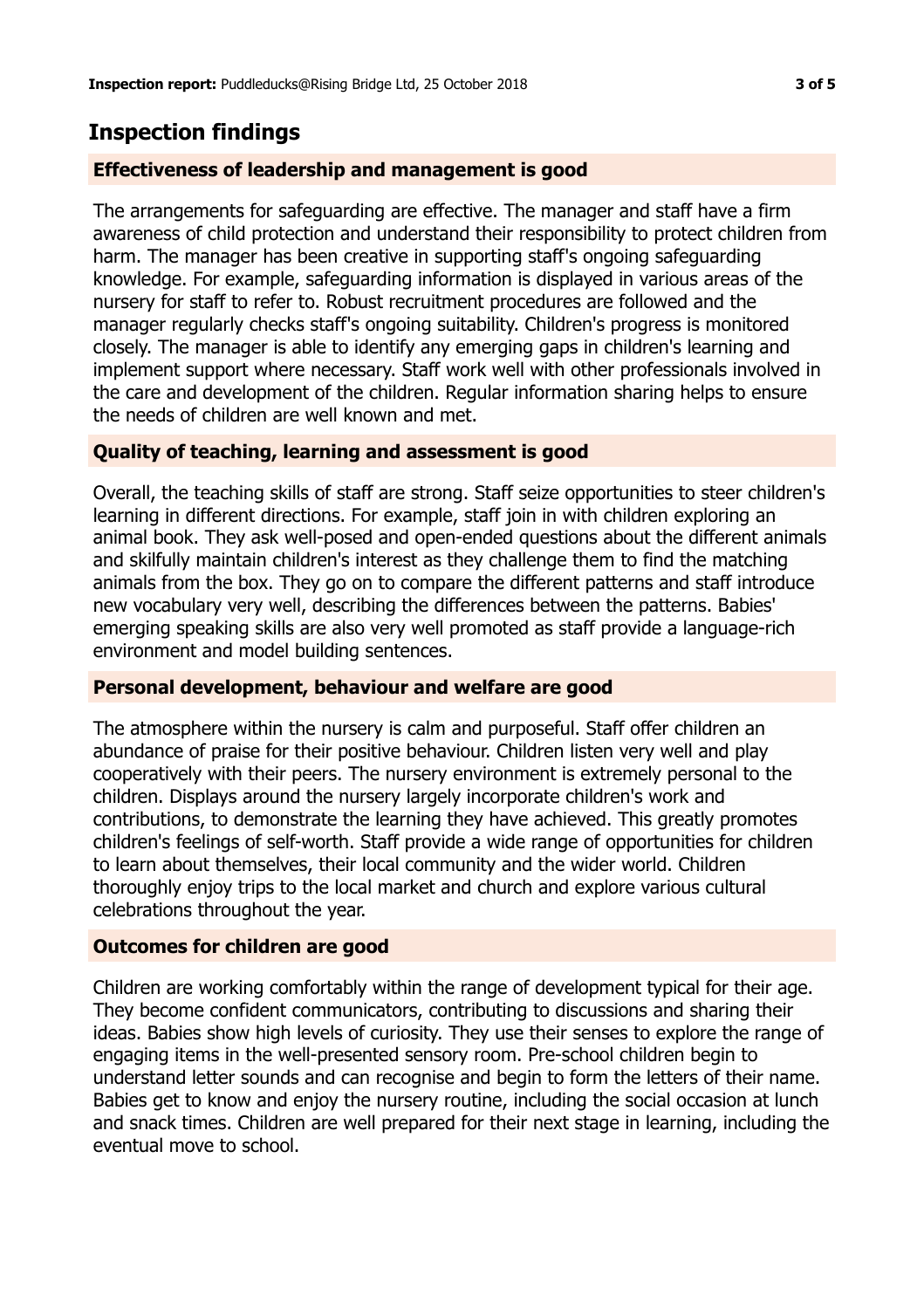## **Inspection findings**

#### **Effectiveness of leadership and management is good**

The arrangements for safeguarding are effective. The manager and staff have a firm awareness of child protection and understand their responsibility to protect children from harm. The manager has been creative in supporting staff's ongoing safeguarding knowledge. For example, safeguarding information is displayed in various areas of the nursery for staff to refer to. Robust recruitment procedures are followed and the manager regularly checks staff's ongoing suitability. Children's progress is monitored closely. The manager is able to identify any emerging gaps in children's learning and implement support where necessary. Staff work well with other professionals involved in the care and development of the children. Regular information sharing helps to ensure the needs of children are well known and met.

#### **Quality of teaching, learning and assessment is good**

Overall, the teaching skills of staff are strong. Staff seize opportunities to steer children's learning in different directions. For example, staff join in with children exploring an animal book. They ask well-posed and open-ended questions about the different animals and skilfully maintain children's interest as they challenge them to find the matching animals from the box. They go on to compare the different patterns and staff introduce new vocabulary very well, describing the differences between the patterns. Babies' emerging speaking skills are also very well promoted as staff provide a language-rich environment and model building sentences.

#### **Personal development, behaviour and welfare are good**

The atmosphere within the nursery is calm and purposeful. Staff offer children an abundance of praise for their positive behaviour. Children listen very well and play cooperatively with their peers. The nursery environment is extremely personal to the children. Displays around the nursery largely incorporate children's work and contributions, to demonstrate the learning they have achieved. This greatly promotes children's feelings of self-worth. Staff provide a wide range of opportunities for children to learn about themselves, their local community and the wider world. Children thoroughly enjoy trips to the local market and church and explore various cultural celebrations throughout the year.

#### **Outcomes for children are good**

Children are working comfortably within the range of development typical for their age. They become confident communicators, contributing to discussions and sharing their ideas. Babies show high levels of curiosity. They use their senses to explore the range of engaging items in the well-presented sensory room. Pre-school children begin to understand letter sounds and can recognise and begin to form the letters of their name. Babies get to know and enjoy the nursery routine, including the social occasion at lunch and snack times. Children are well prepared for their next stage in learning, including the eventual move to school.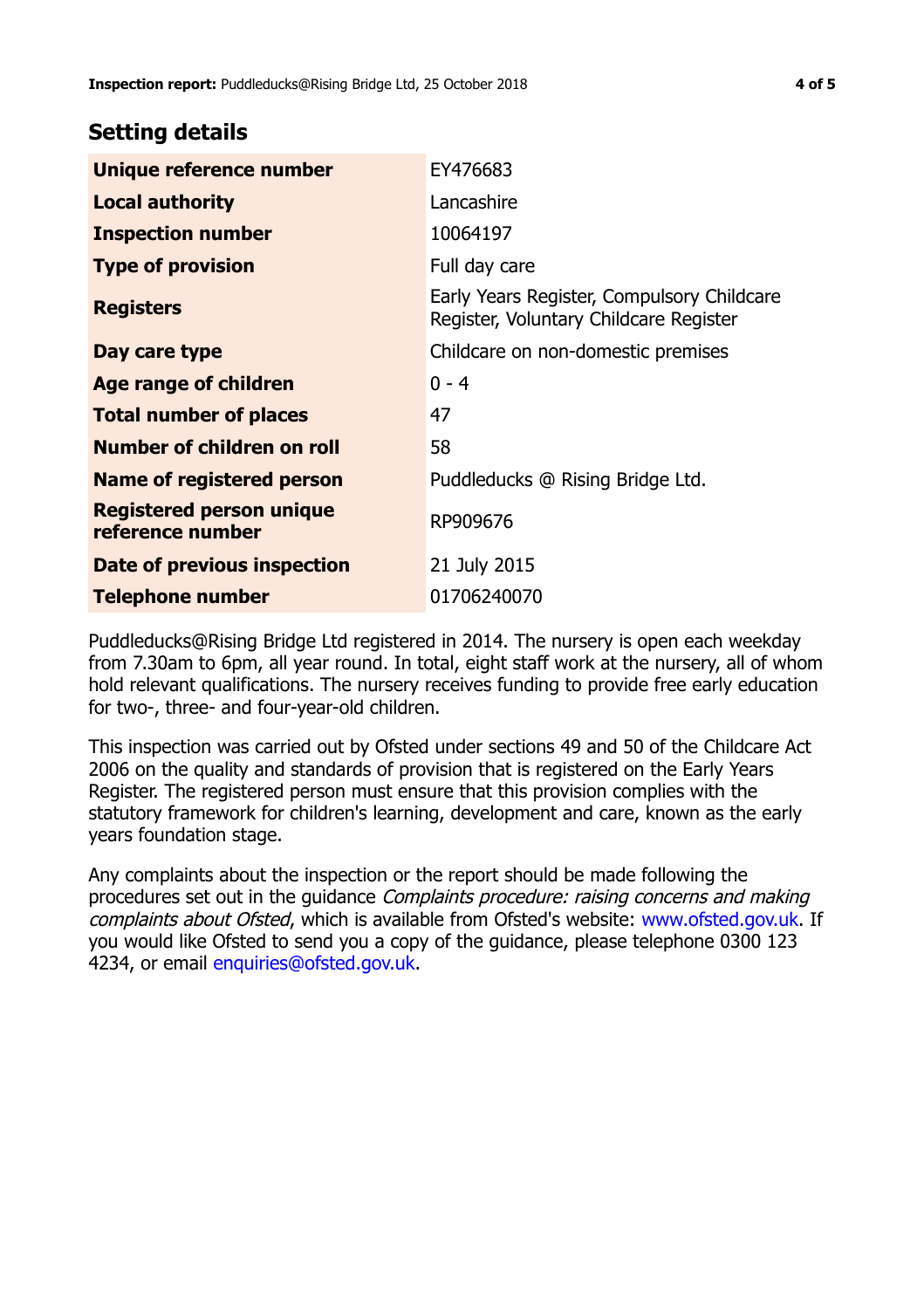## **Setting details**

| Unique reference number                             | EY476683                                                                             |
|-----------------------------------------------------|--------------------------------------------------------------------------------------|
| <b>Local authority</b>                              | Lancashire                                                                           |
| <b>Inspection number</b>                            | 10064197                                                                             |
| <b>Type of provision</b>                            | Full day care                                                                        |
| <b>Registers</b>                                    | Early Years Register, Compulsory Childcare<br>Register, Voluntary Childcare Register |
| Day care type                                       | Childcare on non-domestic premises                                                   |
| Age range of children                               | $0 - 4$                                                                              |
| <b>Total number of places</b>                       | 47                                                                                   |
| Number of children on roll                          | 58                                                                                   |
| Name of registered person                           | Puddleducks @ Rising Bridge Ltd.                                                     |
| <b>Registered person unique</b><br>reference number | RP909676                                                                             |
| Date of previous inspection                         | 21 July 2015                                                                         |
| <b>Telephone number</b>                             | 01706240070                                                                          |

Puddleducks@Rising Bridge Ltd registered in 2014. The nursery is open each weekday from 7.30am to 6pm, all year round. In total, eight staff work at the nursery, all of whom hold relevant qualifications. The nursery receives funding to provide free early education for two-, three- and four-year-old children.

This inspection was carried out by Ofsted under sections 49 and 50 of the Childcare Act 2006 on the quality and standards of provision that is registered on the Early Years Register. The registered person must ensure that this provision complies with the statutory framework for children's learning, development and care, known as the early years foundation stage.

Any complaints about the inspection or the report should be made following the procedures set out in the guidance Complaints procedure: raising concerns and making complaints about Ofsted, which is available from Ofsted's website: www.ofsted.gov.uk. If you would like Ofsted to send you a copy of the guidance, please telephone 0300 123 4234, or email [enquiries@ofsted.gov.uk.](mailto:enquiries@ofsted.gov.uk)